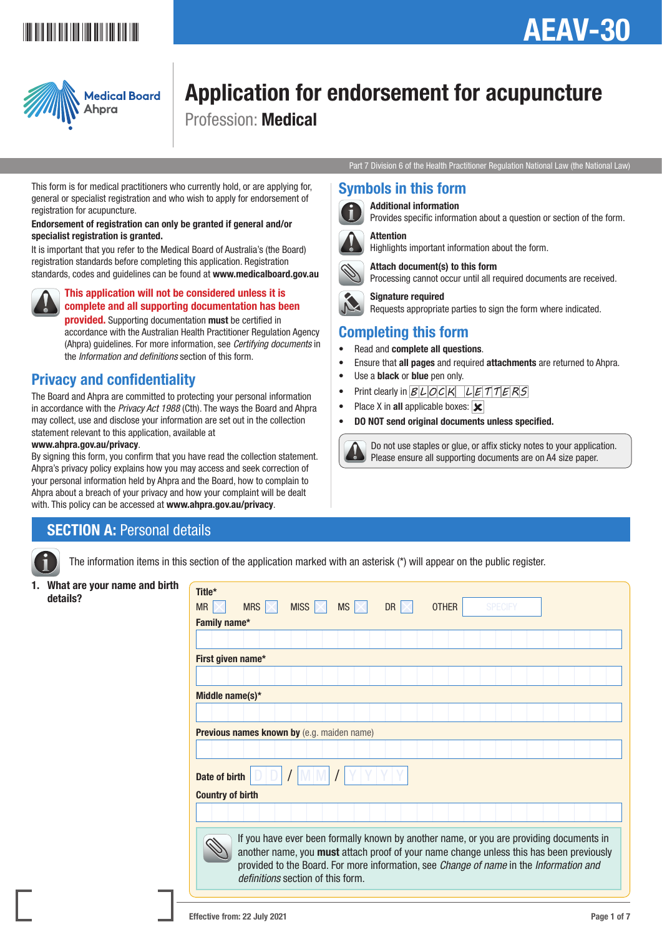## <u>\*AEAV-3011 | AEAV-3011 | AEAV-3011 | AEAV-3011 | AEAV-3011 | AEAV-3011 | AEAV-3011 | AEAV-3011 | AEAV-3011 | A</u>

## AEAV-30



# Application for endorsement for acupuncture

Profession: Medical

Part 7 Division 6 of the Health Practitioner Regulation National Law (the National Law)

#### Symbols in this form



 Additional information Provides specific information about a question or section of the form.



 Attention Highlights important information about the form.



Processing cannot occur until all required documents are received.

 Signature required Requests appropriate parties to sign the form where indicated.

## Completing this form

- Read and complete all questions.
- Ensure that **all pages** and required **attachments** are returned to Ahpra.
- Use a **black** or **blue** pen only.
- Print clearly in  $BLOCK$   $LETTERS$

Attach document(s) to this form

- Place X in all applicable boxes:  $\overline{\mathbf{x}}$
- DO NOT send original documents unless specified.



 Do not use staples or glue, or affix sticky notes to your application. Please ensure all supporting documents are on A4 size paper.

This form is for medical practitioners who currently hold, or are applying for, general or specialist registration and who wish to apply for endorsement of registration for acupuncture.

#### Endorsement of registration can only be granted if general and/or specialist registration is granted.

It is important that you refer to the Medical Board of Australia's (the Board) registration standards before completing this application. Registration standards, codes and guidelines can be found at www.medicalboard.gov.au

#### This application will not be considered unless it is complete and all supporting documentation has been provided. Supporting documentation must be certified in

accordance with the Australian Health Practitioner Regulation Agency (Ahpra) guidelines. For more information, see *Certifying documents* in the *Information and definitions* section of this form.

## Privacy and confidentiality

The Board and Ahpra are committed to protecting your personal information in accordance with the *Privacy Act 1988* (Cth). The ways the Board and Ahpra may collect, use and disclose your information are set out in the collection statement relevant to this application, available at

#### www.ahpra.gov.au/privacy.

By signing this form, you confirm that you have read the collection statement. Ahpra's privacy policy explains how you may access and seek correction of your personal information held by Ahpra and the Board, how to complain to Ahpra about a breach of your privacy and how your complaint will be dealt with. This policy can be accessed at www.ahpra.gov.au/privacy.

## SECTION A: Personal details



The information items in this section of the application marked with an asterisk (\*) will appear on the public register.

1. What are your name and birth  $\int_0^{\pi}$  Title\*

| Title*                                            |                                                                                                                                                                                                                                                                                                                                        |                           |  |             |    |  |              |  |                |  |  |  |
|---------------------------------------------------|----------------------------------------------------------------------------------------------------------------------------------------------------------------------------------------------------------------------------------------------------------------------------------------------------------------------------------------|---------------------------|--|-------------|----|--|--------------|--|----------------|--|--|--|
| <b>MR</b>                                         | MRS $\mathbb{K}$                                                                                                                                                                                                                                                                                                                       | MISS $\vert \times \vert$ |  | $MS \times$ | DR |  | <b>OTHER</b> |  | <b>SPECIFY</b> |  |  |  |
| Family name*                                      |                                                                                                                                                                                                                                                                                                                                        |                           |  |             |    |  |              |  |                |  |  |  |
|                                                   |                                                                                                                                                                                                                                                                                                                                        |                           |  |             |    |  |              |  |                |  |  |  |
| First given name*                                 |                                                                                                                                                                                                                                                                                                                                        |                           |  |             |    |  |              |  |                |  |  |  |
|                                                   |                                                                                                                                                                                                                                                                                                                                        |                           |  |             |    |  |              |  |                |  |  |  |
| Middle name(s)*                                   |                                                                                                                                                                                                                                                                                                                                        |                           |  |             |    |  |              |  |                |  |  |  |
|                                                   |                                                                                                                                                                                                                                                                                                                                        |                           |  |             |    |  |              |  |                |  |  |  |
| <b>Previous names known by</b> (e.g. maiden name) |                                                                                                                                                                                                                                                                                                                                        |                           |  |             |    |  |              |  |                |  |  |  |
|                                                   |                                                                                                                                                                                                                                                                                                                                        |                           |  |             |    |  |              |  |                |  |  |  |
| Date of birth                                     |                                                                                                                                                                                                                                                                                                                                        |                           |  |             |    |  |              |  |                |  |  |  |
| <b>Country of birth</b>                           |                                                                                                                                                                                                                                                                                                                                        |                           |  |             |    |  |              |  |                |  |  |  |
|                                                   |                                                                                                                                                                                                                                                                                                                                        |                           |  |             |    |  |              |  |                |  |  |  |
|                                                   | If you have ever been formally known by another name, or you are providing documents in<br>another name, you must attach proof of your name change unless this has been previously<br>provided to the Board. For more information, see <i>Change of name</i> in the <i>Information and</i><br><i>definitions</i> section of this form. |                           |  |             |    |  |              |  |                |  |  |  |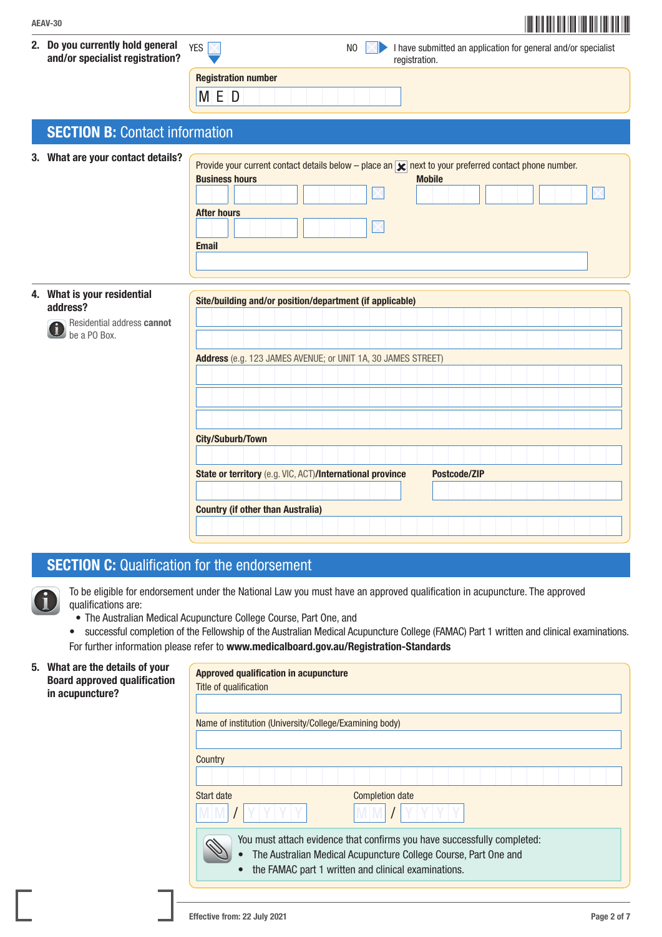| AEAV-30                                                                               | <u> Hill III i III</u>                                                                                                                                                                                                                  |
|---------------------------------------------------------------------------------------|-----------------------------------------------------------------------------------------------------------------------------------------------------------------------------------------------------------------------------------------|
| 2. Do you currently hold general<br>and/or specialist registration?                   | YES $\nabla$<br>I have submitted an application for general and/or specialist<br>N <sub>0</sub><br>registration.                                                                                                                        |
|                                                                                       | <b>Registration number</b><br>M E D                                                                                                                                                                                                     |
| <b>SECTION B: Contact information</b>                                                 |                                                                                                                                                                                                                                         |
| 3. What are your contact details?                                                     | Provide your current contact details below – place an $\vert \mathbf{x} \vert$ next to your preferred contact phone number.<br><b>Business hours</b><br><b>Mobile</b><br><b>After hours</b><br><b>Email</b>                             |
| 4. What is your residential<br>address?<br>Residential address cannot<br>be a PO Box. | Site/building and/or position/department (if applicable)<br>Address (e.g. 123 JAMES AVENUE; or UNIT 1A, 30 JAMES STREET)<br><b>City/Suburb/Town</b><br>State or territory (e.g. VIC, ACT)/International province<br><b>Postcode/ZIP</b> |

## **SECTION C:** Qualification for the endorsement

 To be eligible for endorsement under the National Law you must have an approved qualification in acupuncture. The approved qualifications are:

• The Australian Medical Acupuncture College Course, Part One, and

Country (if other than Australia)

• successful completion of the Fellowship of the Australian Medical Acupuncture College (FAMAC) Part 1 written and clinical examinations. For further information please refer to www.medicalboard.gov.au/Registration-Standards

#### 5. What are the details of your Board approved qualification in acupuncture?

| <b>Approved qualification in acupuncture</b>                                                                                                                                                      |  |  |  |  |  |
|---------------------------------------------------------------------------------------------------------------------------------------------------------------------------------------------------|--|--|--|--|--|
| Title of qualification                                                                                                                                                                            |  |  |  |  |  |
|                                                                                                                                                                                                   |  |  |  |  |  |
| Name of institution (University/College/Examining body)                                                                                                                                           |  |  |  |  |  |
|                                                                                                                                                                                                   |  |  |  |  |  |
| Country                                                                                                                                                                                           |  |  |  |  |  |
|                                                                                                                                                                                                   |  |  |  |  |  |
| Start date<br><b>Completion date</b>                                                                                                                                                              |  |  |  |  |  |
|                                                                                                                                                                                                   |  |  |  |  |  |
| You must attach evidence that confirms you have successfully completed:<br>The Australian Medical Acupuncture College Course, Part One and<br>the FAMAC part 1 written and clinical examinations. |  |  |  |  |  |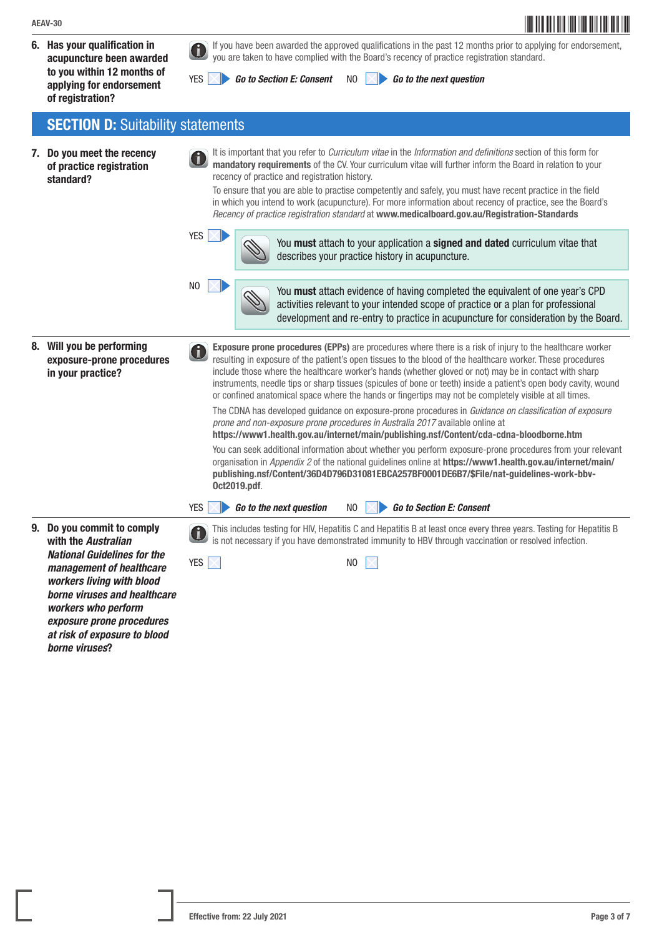6. Has your qualification in acupuncture been awarded to you within 12 months of applying for endorsement of registration?

 If you have been awarded the approved qualifications in the past 12 months prior to applying for endorsement, you are taken to have complied with the Board's recency of practice registration standard.

YES *Go to Section E: Consent* NO *Go to the next question*

**SECTION D: Suitability statements** 

7. Do you meet the recency of practice registration standard? It is important that you refer to *Curriculum vitae* in the *Information and definitions* section of this form for mandatory requirements of the CV. Your curriculum vitae will further inform the Board in relation to your recency of practice and registration history. To ensure that you are able to practise competently and safely, you must have recent practice in the field in which you intend to work (acupuncture). For more information about recency of practice, see the Board's *Recency of practice registration standard* at www.medicalboard.gov.au/Registration-Standards YES  $\times$   $\triangleright$   $\sim$  You must attach to your application a signed and dated curriculum vitae that describes your practice history in acupuncture.  $\sim$  You must attach evidence of having completed the equivalent of one year's CPD activities relevant to your intended scope of practice or a plan for professional development and re-entry to practice in acupuncture for consideration by the Board. 8. Will you be performing exposure-prone procedures in your practice? Exposure prone procedures (EPPs) are procedures where there is a risk of injury to the healthcare worker resulting in exposure of the patient's open tissues to the blood of the healthcare worker. These procedures include those where the healthcare worker's hands (whether gloved or not) may be in contact with sharp instruments, needle tips or sharp tissues (spicules of bone or teeth) inside a patient's open body cavity, wound or confined anatomical space where the hands or fingertips may not be completely visible at all times. The CDNA has developed guidance on exposure-prone procedures in *Guidance on classification of exposure prone and non-exposure prone procedures in Australia 2017* available online at https://www1.health.gov.au/internet/main/publishing.nsf/Content/cda-cdna-bloodborne.htm You can seek additional information about whether you perform exposure-prone procedures from your relevant organisation in *Appendix 2* of the national guidelines online at https://www1.health.gov.au/internet/main/ publishing.nsf/Content/36D4D796D31081EBCA257BF0001DE6B7/\$File/nat-guidelines-work-bbv-Oct2019.pdf. YES *Go to the next question* NO *Go to Section E: Consent* 9. Do you commit to comply with the *Australian National Guidelines for the management of healthcare workers living with blood borne viruses and healthcare workers who perform exposure prone procedures at risk of exposure to blood borne viruses*? This includes testing for HIV, Hepatitis C and Hepatitis B at least once every three years. Testing for Hepatitis B is not necessary if you have demonstrated immunity to HBV through vaccination or resolved infection.  $YES \sim N$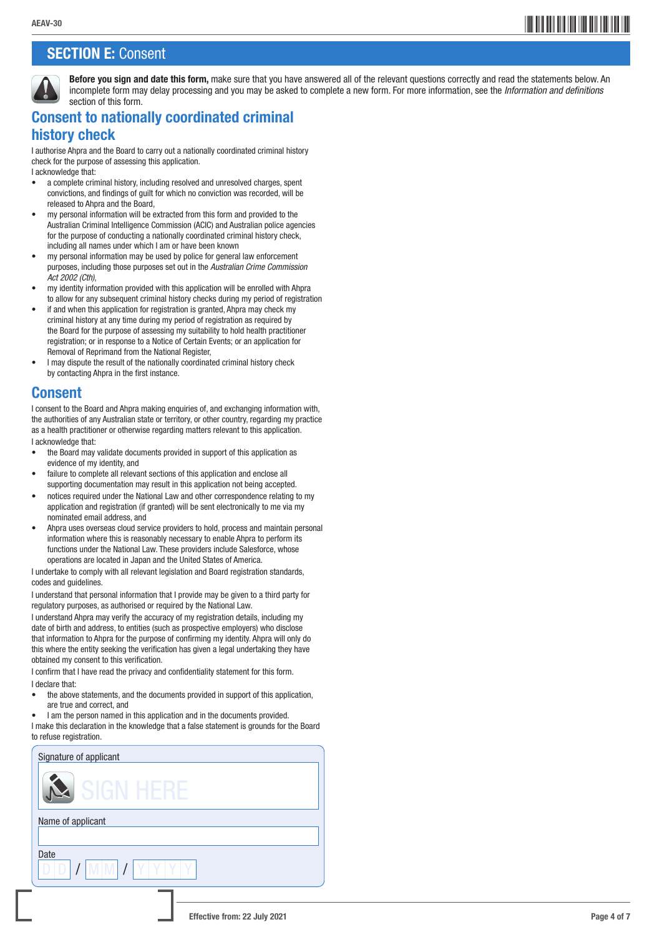## **SECTION E: Consent**



Before you sign and date this form, make sure that you have answered all of the relevant questions correctly and read the statements below. An incomplete form may delay processing and you may be asked to complete a new form. For more information, see the *Information and definitions* section of this form.

## Consent to nationally coordinated criminal history check

I authorise Ahpra and the Board to carry out a nationally coordinated criminal history check for the purpose of assessing this application.

I acknowledge that:

- a complete criminal history, including resolved and unresolved charges, spent convictions, and findings of guilt for which no conviction was recorded, will be released to Ahpra and the Board,
- my personal information will be extracted from this form and provided to the Australian Criminal Intelligence Commission (ACIC) and Australian police agencies for the purpose of conducting a nationally coordinated criminal history check, including all names under which I am or have been known
- my personal information may be used by police for general law enforcement purposes, including those purposes set out in the *Australian Crime Commission Act 2002 (Cth)*,
- my identity information provided with this application will be enrolled with Ahpra to allow for any subsequent criminal history checks during my period of registration
- if and when this application for registration is granted, Ahpra may check my criminal history at any time during my period of registration as required by the Board for the purpose of assessing my suitability to hold health practitioner registration; or in response to a Notice of Certain Events; or an application for Removal of Reprimand from the National Register,
- I may dispute the result of the nationally coordinated criminal history check by contacting Ahpra in the first instance.

### Consent

I consent to the Board and Ahpra making enquiries of, and exchanging information with, the authorities of any Australian state or territory, or other country, regarding my practice as a health practitioner or otherwise regarding matters relevant to this application. I acknowledge that:

- the Board may validate documents provided in support of this application as evidence of my identity, and
- failure to complete all relevant sections of this application and enclose all supporting documentation may result in this application not being accepted.
- notices required under the National Law and other correspondence relating to my application and registration (if granted) will be sent electronically to me via my nominated email address, and
- Ahpra uses overseas cloud service providers to hold, process and maintain personal information where this is reasonably necessary to enable Ahpra to perform its functions under the National Law. These providers include Salesforce, whose operations are located in Japan and the United States of America.

I undertake to comply with all relevant legislation and Board registration standards, codes and guidelines.

I understand that personal information that I provide may be given to a third party for regulatory purposes, as authorised or required by the National Law.

I understand Ahpra may verify the accuracy of my registration details, including my date of birth and address, to entities (such as prospective employers) who disclose that information to Ahpra for the purpose of confirming my identity. Ahpra will only do this where the entity seeking the verification has given a legal undertaking they have obtained my consent to this verification.

I confirm that I have read the privacy and confidentiality statement for this form. I declare that:

- the above statements, and the documents provided in support of this application, are true and correct, and
- I am the person named in this application and in the documents provided.

I make this declaration in the knowledge that a false statement is grounds for the Board to refuse registration.

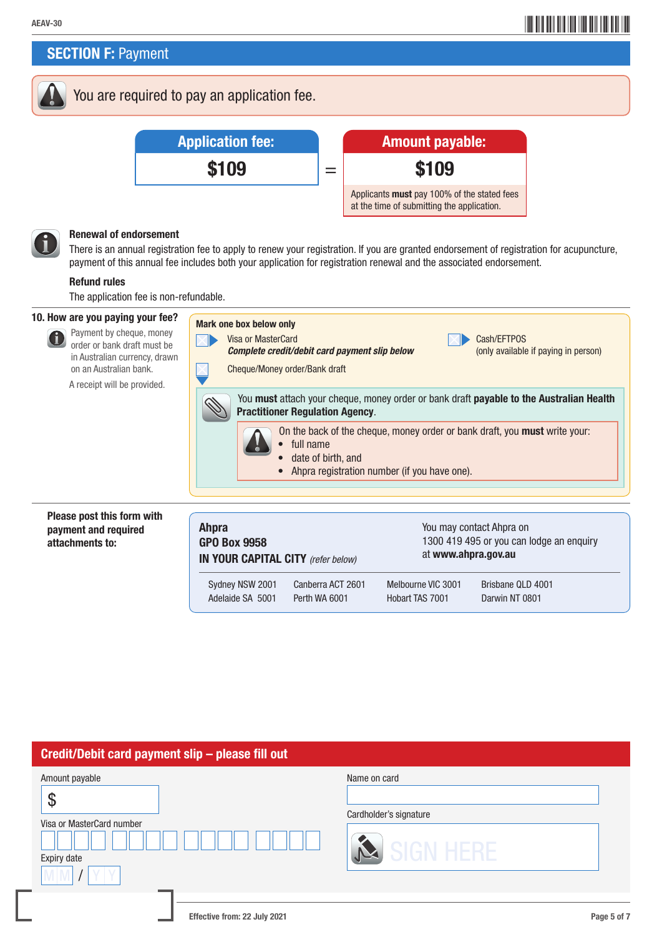**SECTION F: Payment** 

You are required to pay an application fee.



#### Renewal of endorsement

 There is an annual registration fee to apply to renew your registration. If you are granted endorsement of registration for acupuncture, payment of this annual fee includes both your application for registration renewal and the associated endorsement.

#### Refund rules

The application fee is non-refundable.

#### 10. How are you paying your fee?



#### Please post this form with payment and required attachments to:

| <b>Ahpra</b><br><b>GPO Box 9958</b><br>IN YOUR CAPITAL CITY (refer below) |                  |                   | You may contact Ahpra on<br>1300 419 495 or you can lodge an enquiry<br>at www.ahpra.gov.au |                   |  |  |  |
|---------------------------------------------------------------------------|------------------|-------------------|---------------------------------------------------------------------------------------------|-------------------|--|--|--|
|                                                                           | Sydney NSW 2001  | Canberra ACT 2601 | Melbourne VIC 3001                                                                          | Brisbane QLD 4001 |  |  |  |
|                                                                           | Adelaide SA 5001 | Perth WA 6001     | Hobart TAS 7001                                                                             | Darwin NT 0801    |  |  |  |

#### Credit/Debit card payment slip – please fill out

| Amount payable<br>O<br>Φ<br>Visa or MasterCard number<br>Expiry date | Name on card<br>Cardholder's signature<br>SIGN HERE |  |
|----------------------------------------------------------------------|-----------------------------------------------------|--|
| Effective from: 22 July 2021                                         | Page 5 of 7                                         |  |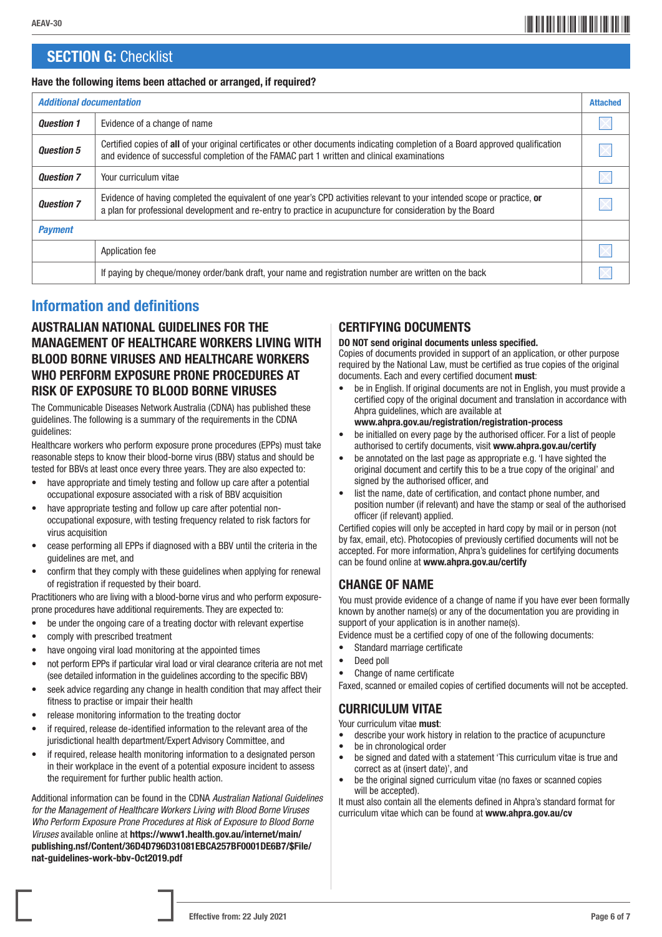## **SECTION G: Checklist**

#### Have the following items been attached or arranged, if required?

| <b>Additional documentation</b> |                                                                                                                                                                                                                                        | <b>Attached</b> |  |  |  |  |
|---------------------------------|----------------------------------------------------------------------------------------------------------------------------------------------------------------------------------------------------------------------------------------|-----------------|--|--|--|--|
| <b>Ouestion 1</b>               | Evidence of a change of name                                                                                                                                                                                                           |                 |  |  |  |  |
| <b>Question 5</b>               | Certified copies of all of your original certificates or other documents indicating completion of a Board approved qualification<br>and evidence of successful completion of the FAMAC part 1 written and clinical examinations        |                 |  |  |  |  |
| <b>Question 7</b>               | Your curriculum vitae                                                                                                                                                                                                                  |                 |  |  |  |  |
| <b>Ouestion 7</b>               | Evidence of having completed the equivalent of one year's CPD activities relevant to your intended scope or practice, or<br>a plan for professional development and re-entry to practice in acupuncture for consideration by the Board |                 |  |  |  |  |
| <b>Payment</b>                  |                                                                                                                                                                                                                                        |                 |  |  |  |  |
|                                 | Application fee                                                                                                                                                                                                                        |                 |  |  |  |  |
|                                 | If paying by cheque/money order/bank draft, your name and registration number are written on the back                                                                                                                                  |                 |  |  |  |  |

## Information and definitions

#### AUSTRALIAN NATIONAL GUIDELINES FOR THE MANAGEMENT OF HEALTHCARE WORKERS LIVING WITH BLOOD BORNE VIRUSES AND HEALTHCARE WORKERS WHO PERFORM EXPOSURE PRONE PROCEDURES AT RISK OF EXPOSURE TO BLOOD BORNE VIRUSES

The Communicable Diseases Network Australia (CDNA) has published these guidelines. The following is a summary of the requirements in the CDNA guidelines:

Healthcare workers who perform exposure prone procedures (EPPs) must take reasonable steps to know their blood-borne virus (BBV) status and should be tested for BBVs at least once every three years. They are also expected to:

- have appropriate and timely testing and follow up care after a potential occupational exposure associated with a risk of BBV acquisition
- have appropriate testing and follow up care after potential nonoccupational exposure, with testing frequency related to risk factors for virus acquisition
- cease performing all EPPs if diagnosed with a BBV until the criteria in the guidelines are met, and
- confirm that they comply with these guidelines when applying for renewal of registration if requested by their board.

Practitioners who are living with a blood-borne virus and who perform exposureprone procedures have additional requirements. They are expected to:

- be under the ongoing care of a treating doctor with relevant expertise
- comply with prescribed treatment
- have ongoing viral load monitoring at the appointed times
- not perform EPPs if particular viral load or viral clearance criteria are not met (see detailed information in the guidelines according to the specific BBV)
- seek advice regarding any change in health condition that may affect their fitness to practise or impair their health
- release monitoring information to the treating doctor
- if required, release de-identified information to the relevant area of the jurisdictional health department/Expert Advisory Committee, and
- if required, release health monitoring information to a designated person in their workplace in the event of a potential exposure incident to assess the requirement for further public health action.

Additional information can be found in the CDNA *Australian National Guidelines for the Management of Healthcare Workers Living with Blood Borne Viruses Who Perform Exposure Prone Procedures at Risk of Exposure to Blood Borne Viruses* available online at https://www1.health.gov.au/internet/main/ publishing.nsf/Content/36D4D796D31081EBCA257BF0001DE6B7/\$File/ nat-guidelines-work-bbv-Oct2019.pdf

### CERTIFYING DOCUMENTS

#### DO NOT send original documents unless specified.

Copies of documents provided in support of an application, or other purpose required by the National Law, must be certified as true copies of the original documents. Each and every certified document must:

- be in English. If original documents are not in English, you must provide a certified copy of the original document and translation in accordance with Ahpra guidelines, which are available at www.ahpra.gov.au/registration/registration-process
- be initialled on every page by the authorised officer. For a list of people authorised to certify documents, visit www.ahpra.gov.au/certify
- be annotated on the last page as appropriate e.g. 'I have sighted the original document and certify this to be a true copy of the original' and signed by the authorised officer, and
- list the name, date of certification, and contact phone number, and position number (if relevant) and have the stamp or seal of the authorised officer (if relevant) applied.

Certified copies will only be accepted in hard copy by mail or in person (not by fax, email, etc). Photocopies of previously certified documents will not be accepted. For more information, Ahpra's guidelines for certifying documents can be found online at www.ahpra.gov.au/certify

#### CHANGE OF NAME

You must provide evidence of a change of name if you have ever been formally known by another name(s) or any of the documentation you are providing in support of your application is in another name(s).

Evidence must be a certified copy of one of the following documents:

- Standard marriage certificate
- Deed poll
- Change of name certificate

Faxed, scanned or emailed copies of certified documents will not be accepted.

CURRICULUM VITAE

Your curriculum vitae must:

- describe your work history in relation to the practice of acupuncture
- be in chronological order<br>• he signed and dated with
- be signed and dated with a statement 'This curriculum vitae is true and correct as at (insert date)', and
- be the original signed curriculum vitae (no faxes or scanned copies will be accepted).

It must also contain all the elements defined in Ahpra's standard format for curriculum vitae which can be found at www.ahpra.gov.au/cv